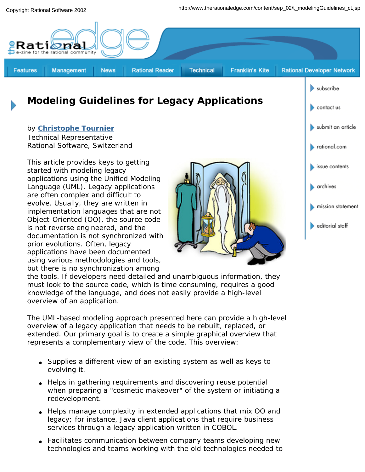

# **Modeling Guidelines for Legacy Applications**

### by **Christophe Tournier**

Technical Representative Rational Software, Switzerland

*This article provides keys to getting started with modeling legacy applications using the Unified Modeling Language (UML). Legacy applications are often complex and difficult to evolve. Usually, they are written in implementation languages that are not Object-Oriented (OO), the source code is not reverse engineered, and the documentation is not synchronized with prior evolutions. Often, legacy applications have been documented using various methodologies and tools, but there is no synchronization among* 



contact us

submit an article

*the tools. If developers need detailed and unambiguous information, they must look to the source code, which is time consuming, requires a good knowledge of the language, and does not easily provide a high-level overview of an application.* 

*The UML-based modeling approach presented here can provide a high-level overview of a legacy application that needs to be rebuilt, replaced, or extended. Our primary goal is to* create a simple graphical overview that represents a complementary view of the code. *This overview:*

- *Supplies a different view of an existing system as well as keys to evolving it.*
- *Helps in gathering requirements and discovering reuse potential when preparing a "cosmetic makeover" of the system or initiating a redevelopment.*
- *Helps manage complexity in extended applications that mix OO and legacy; for instance, Java client applications that require business services through a legacy application written in COBOL.*
- *Facilitates communication between company teams developing new technologies and teams working with the old technologies needed to*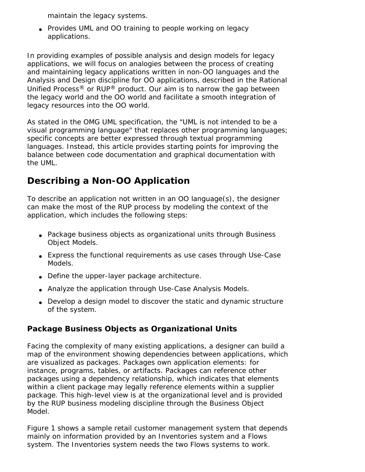*maintain the legacy systems.* 

● *Provides UML and OO training to people working on legacy applications.*

*In providing examples of possible analysis and design models for legacy applications, we will focus on analogies between the process of creating and maintaining legacy applications written in non-OO languages and the Analysis and Design discipline for OO applications, described in the Rational Unified Process® or RUP® product. Our aim is to narrow the gap between the legacy world and the OO world and facilitate a smooth integration of legacy resources into the OO world.* 

*As stated in the OMG UML specification, the "UML is not intended to be a visual programming language" that replaces other programming languages; specific concepts are better expressed through textual programming languages. Instead, this article provides starting points for improving the balance between code documentation and graphical documentation with the UML.* 

# **Describing a Non-OO Application**

To describe an application not written in an OO language(s), the designer can make the most of the RUP process by modeling the context of the application, which includes the following steps:

- Package business objects as organizational units through Business Object Models.
- Express the functional requirements as use cases through Use-Case Models.
- Define the upper-layer package architecture.
- Analyze the application through Use-Case Analysis Models.
- Develop a design model to discover the static and dynamic structure of the system.

# **Package Business Objects as Organizational Units**

Facing the complexity of many existing applications, a designer can build a map of the environment showing dependencies between applications, which are visualized as packages. Packages own application elements: for instance, programs, tables, or artifacts. Packages can reference other packages using a dependency relationship, which indicates that elements within a client package may legally reference elements within a supplier package. This high-level view is at the *organizational level* and is provided by the RUP business modeling discipline through the Business Object Model.

Figure 1 shows a sample retail customer management system that depends mainly on information provided by an *Inventories* system and a *Flows* system. The *Inventories* system needs the two *Flows* systems to work.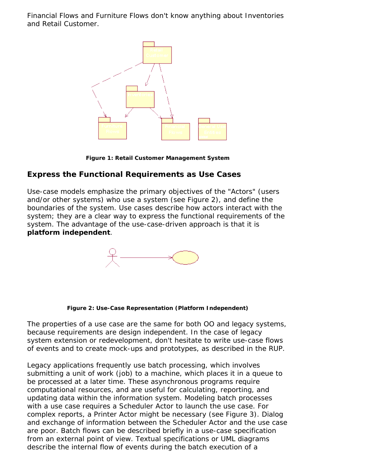*Financial Flows* and *Furniture Flows* don't know anything about *Inventories* and *Retail Customer*.



**Figure 1: Retail Customer Management System**

### **Express the Functional Requirements as Use Cases**

Use-case models emphasize the primary objectives of the "Actors" (users and/or other systems) who use a system (see Figure 2), and define the boundaries of the system. Use cases describe how actors interact with the system; they are a clear way to express the functional requirements of the system. *The advantage of the use-case-driven approach is that it is platform independent*.



**Figure 2: Use-Case Representation (Platform Independent)**

*The properties of a use case are the same for both OO and legacy systems*, because *requirements are design independent*. In the case of legacy system extension or redevelopment, don't hesitate to write use-case flows of events and to create mock-ups and prototypes, as described in the RUP.

Legacy applications frequently use batch processing, which involves submitting a unit of work (job) to a machine, which places it in a queue to be processed at a later time. These asynchronous programs require computational resources, and are useful for calculating, reporting, and updating data within the information system. Modeling batch processes with a use case requires a Scheduler Actor to launch the use case. For complex reports, a Printer Actor might be necessary (see Figure 3). Dialog and exchange of information between the Scheduler Actor and the use case are poor. Batch flows can be described briefly in a use-case specification from an external point of view. Textual specifications or UML diagrams describe the internal flow of events during the batch execution of a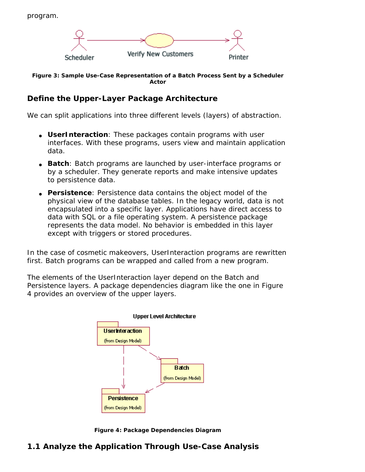

**Figure 3: Sample Use-Case Representation of a Batch Process Sent by a Scheduler Actor**

## **Define the Upper-Layer Package Architecture**

We can split applications into three different levels (layers) of abstraction.

- **UserInteraction**: These packages contain programs with user interfaces. With these programs, users view and maintain application data.
- **Batch**: Batch programs are launched by user-interface programs or by a scheduler. They generate reports and make intensive updates to persistence data.
- **Persistence**: Persistence data contains the object model of the physical view of the database tables. In the legacy world, data is not encapsulated into a specific layer. Applications have direct access to data with SQL or a file operating system. A persistence package represents the data model. No behavior is embedded in this layer except with triggers or stored procedures.

In the case of cosmetic makeovers, UserInteraction programs are rewritten first. Batch programs can be wrapped and called from a new program.

The elements of the UserInteraction layer depend on the Batch and Persistence layers. A package dependencies diagram like the one in Figure 4 provides an overview of the upper layers.



**Figure 4: Package Dependencies Diagram**

### **1.1 Analyze the Application Through Use-Case Analysis**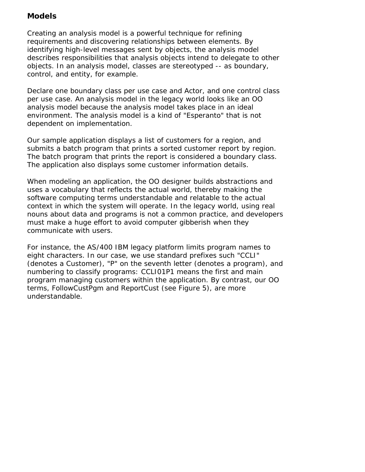## **Models**

Creating an analysis model is a powerful technique for refining requirements and discovering relationships between elements. By identifying high-level messages sent by objects, the analysis model describes responsibilities that analysis objects intend to delegate to other objects. In an analysis model, classes are stereotyped -- as *boundary*, *control*, and *entity*, for example.

Declare one *boundary* class per use case and Actor, and one control class per use case. An analysis model in the legacy world looks like an OO analysis model because the analysis model takes place in an ideal environment. *The analysis model is a kind of "Esperanto" that is not dependent on implementation*.

Our sample application displays a list of customers for a region, and submits a batch program that prints a sorted customer report by region. The batch program that prints the report is considered a boundary class. The application also displays some customer information details.

When modeling an application, the OO designer builds abstractions and uses a vocabulary that reflects the actual world, thereby making the software computing terms understandable and relatable to the actual context in which the system will operate. In the legacy world, using real nouns about data and programs is not a common practice, and developers must make a huge effort to avoid computer gibberish when they communicate with users.

For instance, the AS/400 IBM legacy platform limits program names to eight characters. In our case, we use standard prefixes such "CCLI" (denotes a Customer), "P" on the seventh letter (denotes a program), and numbering to classify programs: CCLI01P1 means the first and main program managing customers within the application. By contrast, our OO terms, FollowCustPgm and ReportCust (see Figure 5), are more understandable.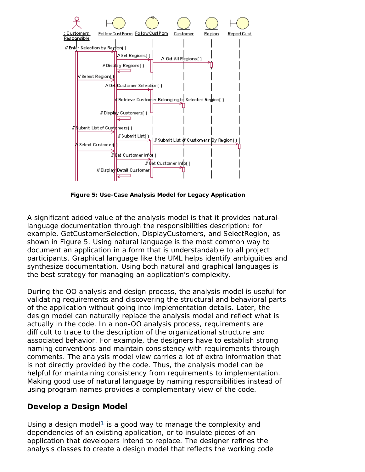

**Figure 5: Use-Case Analysis Model for Legacy Application**

*A significant added value of the analysis model is that it provides naturallanguage documentation through the responsibilities description*: for example, GetCustomerSelection, DisplayCustomers, and SelectRegion, as shown in Figure 5. Using natural language is the most common way to document an application in a form that is understandable to all project participants. Graphical language like the UML helps identify ambiguities and synthesize documentation. Using both natural and graphical languages is the best strategy for managing an application's complexity.

During the OO analysis and design process, the analysis model is useful for validating requirements and discovering the structural and behavioral parts of the application without going into implementation details. Later, the design model can naturally replace the analysis model and reflect what is actually in the code. In a non-OO analysis process, requirements are difficult to trace to the description of the organizational structure and associated behavior. For example, the designers have to establish strong naming conventions and maintain consistency with requirements through comments. The analysis model view carries a lot of extra information that is not directly provided by the code*. Thus, the analysis model can be helpful for maintaining consistency from requirements to implementation. Making good use of natural language by naming responsibilities instead of using program names provides a complementary view of the code*.

## **Develop a Design Model**

Using a design model<sup>1</sup> is a good way to manage the complexity and dependencies of an existing application, or to insulate pieces of an application that developers intend to replace. The designer refines the analysis classes to create a design model that reflects the working code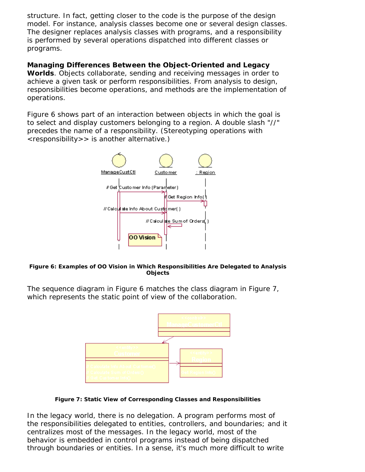structure. In fact, *getting closer to the code is the purpose of the design model.* For instance, analysis classes become one or several design classes. The designer replaces analysis classes with programs, and a responsibility is performed by several operations dispatched into different classes or programs.

### **Managing Differences Between the Object-Oriented and Legacy**

**Worlds**. Objects collaborate, sending and receiving messages in order to achieve a given task or perform responsibilities. From analysis to design, responsibilities become operations, and methods are the implementation of operations.

Figure 6 shows part of an interaction between objects in which the goal is to select and display customers belonging to a region. A double slash "//" precedes the name of a responsibility. (Stereotyping operations with <responsibility>> is another alternative.)



#### **Figure 6: Examples of OO Vision in Which Responsibilities Are Delegated to Analysis Objects**

The sequence diagram in Figure 6 matches the class diagram in Figure 7, which represents the static point of view of the collaboration.



**Figure 7: Static View of Corresponding Classes and Responsibilities**

In the legacy world, there is no delegation. A program performs most of the responsibilities delegated to entities, controllers, and boundaries; and it centralizes most of the messages. In the legacy world, most of the behavior is embedded in control programs instead of being dispatched through boundaries or entities. In a sense, it's much more difficult to write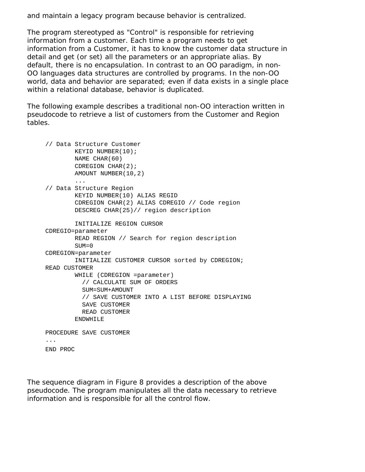and maintain a legacy program because behavior is centralized.

The program stereotyped as "Control" is responsible for retrieving information from a customer. Each time a program needs to get information from a Customer, it has to know the customer data structure in detail and get (or set) all the parameters or an appropriate alias. By default, there is no encapsulation. In contrast to an OO paradigm, in non-OO languages data structures are controlled by programs. *In the non-OO world, data and behavior are separated; even if data exists in a single place within a relational database, behavior is duplicated*.

The following example describes a traditional non-OO interaction written in pseudocode to retrieve a list of customers from the Customer and Region tables.

```
// Data Structure Customer
        KEYID NUMBER(10);
        NAME CHAR(60)
        CDREGION CHAR(2);
        AMOUNT NUMBER(10,2)
         ...
// Data Structure Region
        KEYID NUMBER(10) ALIAS REGID
         CDREGION CHAR(2) ALIAS CDREGIO // Code region
         DESCREG CHAR(25)// region description
         INITIALIZE REGION CURSOR
CDREGIO=parameter
         READ REGION // Search for region description
        SUM=0CDREGION=parameter
        INITIALIZE CUSTOMER CURSOR sorted by CDREGION;
READ CUSTOMER
         WHILE (CDREGION =parameter)
           // CALCULATE SUM OF ORDERS
           SUM=SUM+AMOUNT 
           // SAVE CUSTOMER INTO A LIST BEFORE DISPLAYING
           SAVE CUSTOMER 
           READ CUSTOMER
         ENDWHILE 
PROCEDURE SAVE CUSTOMER
...
END PROC
```
The sequence diagram in Figure 8 provides a description of the above pseudocode. The program manipulates all the data necessary to retrieve information and is responsible for all the control flow.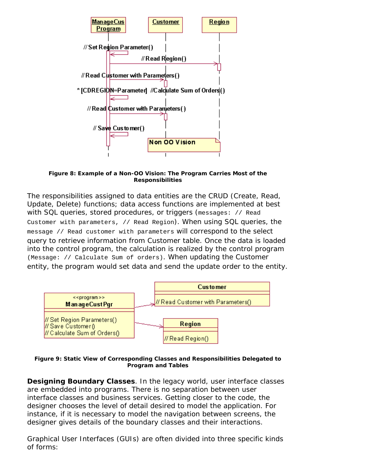

**Figure 8: Example of a Non-OO Vision: The Program Carries Most of the Responsibilities**

The responsibilities assigned to data entities are the CRUD (Create, Read, Update, Delete) functions; data access functions are implemented at best with SQL queries, stored procedures, or triggers (messages: // Read Customer with parameters, // Read Region). When using SQL queries, the message // Read customer with parameters will correspond to the select query to retrieve information from Customer table. Once the data is loaded into the control program, the calculation is realized by the control program (Message: // Calculate Sum of orders). When updating the Customer entity, the program would set data and send the update order to the entity.



**Figure 9: Static View of Corresponding Classes and Responsibilities Delegated to Program and Tables**

**Designing Boundary Classes**. *In the legacy world, user interface classes are embedded into programs. There is no separation between user interface classes and business services*. Getting closer to the code, the designer chooses the level of detail desired to model the application. For instance, if it is necessary to model the navigation between screens, the designer gives details of the boundary classes and their interactions.

Graphical User Interfaces (GUIs) are often divided into three specific kinds of forms: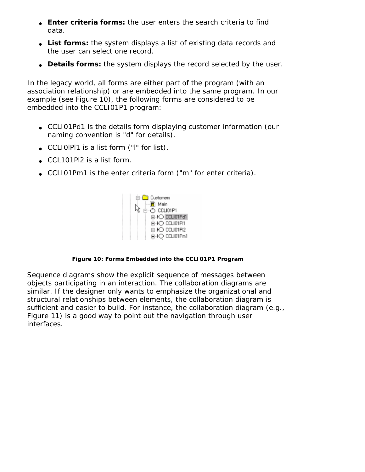- *Enter criteria forms***:** the user enters the search criteria to find data.
- List forms: the system displays a list of existing data records and the user can select one record.
- **Details forms:** the system displays the record selected by the user.

In the legacy world, all forms are either part of the program (with an association relationship) or are embedded into the same program. In our example (see Figure 10), the following forms are considered to be embedded into the CCLI01P1 program:

- CCLI01Pd1 is the *details* form displaying customer information (our naming convention is "d" for details).
- CCLI0lPl1 is a *list* form ("l" for list).
- CCL101Pl2 is a *list* form.
- CCLI01Pm1 is the *enter criteria* form ("m" for enter criteria).



### **Figure 10: Forms Embedded into the CCLI01P1 Program**

*Sequence diagrams* show the explicit sequence of messages between objects participating in an interaction. The *collaboration diagrams* are similar. If the designer only wants to emphasize the organizational and structural relationships between elements, the collaboration diagram is sufficient and easier to build. For instance, the collaboration diagram (e.g., Figure 11) is a good way to point out the navigation through user interfaces.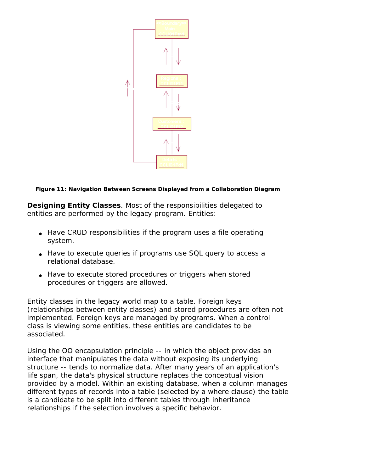

#### **Figure 11: Navigation Between Screens Displayed from a Collaboration Diagram**

**Designing Entity Classes**. Most of the responsibilities delegated to entities are performed by the legacy program. Entities:

- Have *CRUD responsibilities* if the program uses a file operating system.
- Have to *execute queries* if programs use SQL query to access a relational database.
- Have to *execute stored procedures or triggers* when stored procedures or triggers are allowed.

Entity classes in the legacy world map to a table. Foreign keys (relationships between entity classes) and stored procedures are often not implemented. Foreign keys are managed by programs. When a control class is viewing some entities, these entities are candidates to be associated.

Using the OO encapsulation principle -- in which the object provides an interface that manipulates the data without exposing its underlying structure -- tends to normalize data. After many years of an application's life span, the data's physical structure replaces the conceptual vision provided by a model. Within an existing database, when a column manages different types of records into a table (selected by a *where* clause) the table is a candidate to be split into different tables through inheritance relationships if the selection involves a specific behavior.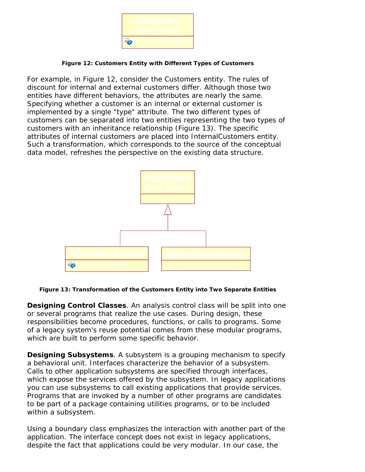

#### **Figure 12: Customers Entity with Different Types of Customers**

For example, in Figure 12, consider the Customers entity. The rules of discount for internal and external customers differ. Although those two entities have different behaviors, the attributes are nearly the same. Specifying whether a customer is an internal or external customer is implemented by a single "type" attribute. The two different types of customers can be separated into two entities representing the two types of customers with an inheritance relationship (Figure 13). The specific attributes of internal customers are placed into InternalCustomers entity. Such a transformation, which corresponds to the source of the conceptual data model, refreshes the perspective on the existing data structure.



**Figure 13: Transformation of the Customers Entity into Two Separate Entities**

**Designing Control Classes**. An analysis control class will be split into one or several programs that realize the use cases. During design, these responsibilities become procedures, functions, or calls to programs. Some of a legacy system's reuse potential comes from these modular programs, which are built to perform some specific behavior.

**Designing Subsystems**. A subsystem is a grouping mechanism to specify a behavioral unit. Interfaces characterize the behavior of a subsystem. Calls to other application subsystems are specified through interfaces, which expose the services offered by the subsystem. In legacy applications you can use subsystems to call existing applications that provide services. Programs that are invoked by a number of other programs are candidates to be part of a package containing utilities programs, or to be included within a subsystem.

Using a *boundary class* emphasizes the interaction with another part of the application. The interface concept does not exist in legacy applications, despite the fact that applications could be very modular. In our case, the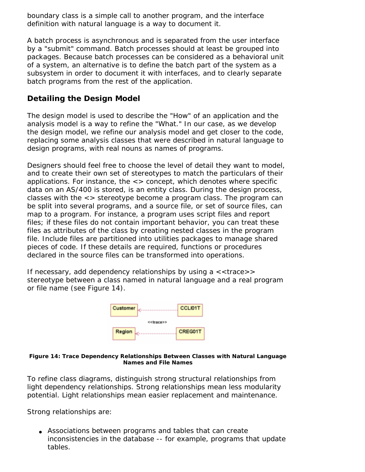boundary class is a simple call to another program, and the interface definition with natural language is a way to document it.

A batch process is asynchronous and is separated from the user interface by a "submit" command. Batch processes should at least be grouped into packages. Because batch processes can be considered as a behavioral unit of a system, an alternative is to define the batch part of the system as a subsystem in order to document it with interfaces, and to clearly separate batch programs from the rest of the application.

# **Detailing the Design Model**

The design model is used to describe the "How" of an application and the analysis model is a way to refine the "What." In our case, as we develop the design model, we refine our analysis model and get closer to the code, replacing some analysis classes that were described in natural language to design programs, with real nouns as names of programs.

Designers should feel free to choose the level of detail they want to model, and to create their own set of stereotypes to match the particulars of their applications. For instance, the  $\langle \rangle$  concept, which denotes where specific data on an AS/400 is stored, is an entity class. During the design process, classes with the <> stereotype become a program class. The program can be split into several programs, and a source file, or set of source files, can map to a program. For instance, a program uses script files and report files; if these files do not contain important behavior, you can treat these files as attributes of the class by creating nested classes in the program file. Include files are partitioned into utilities packages to manage shared pieces of code. If these details are required, functions or procedures declared in the source files can be transformed into operations.

If necessary, add dependency relationships by using  $a \ll$  trace>> stereotype between a class named in natural language and a real program or file name (see Figure 14).



#### **Figure 14: Trace Dependency Relationships Between Classes with Natural Language Names and File Names**

*To refine class diagrams, distinguish strong structural relationships from light dependency relationships*. Strong relationships mean less modularity potential. Light relationships mean easier replacement and maintenance.

Strong relationships are:

● *Associations between programs and tables that can create inconsistencies in the database* -- for example, programs that update tables.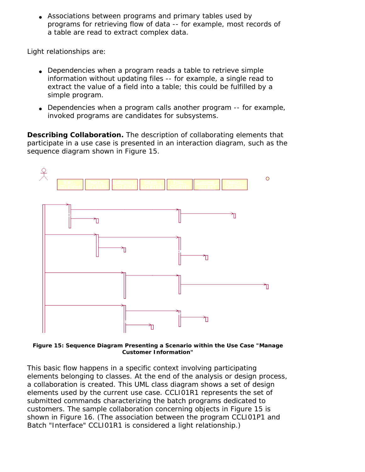● *Associations between programs and primary tables used by programs for retrieving flow of data* -- for example, most records of a table are read to extract complex data.

Light relationships are:

- *Dependencies when a program reads a table to retrieve simple information without updating files* -- for example, a single read to extract the value of a field into a table; this could be fulfilled by a simple program.
- *Dependencies when a program calls another program* -- for example, invoked programs are candidates for subsystems.

**Describing Collaboration.** The description of collaborating elements that participate in a use case is presented in an interaction diagram, such as the sequence diagram shown in Figure 15.



**Figure 15: Sequence Diagram Presenting a Scenario within the Use Case "Manage Customer Information"**

This basic flow happens in a specific context involving participating elements belonging to classes. At the end of the analysis or design process, a collaboration is created. This UML class diagram shows a set of design elements used by the current use case. CCLI01R1 represents the set of submitted commands characterizing the batch programs dedicated to customers. The sample collaboration concerning objects in Figure 15 is shown in Figure 16. (The association between the program CCLI01P1 and Batch "Interface" CCLI01R1 is considered a light relationship.)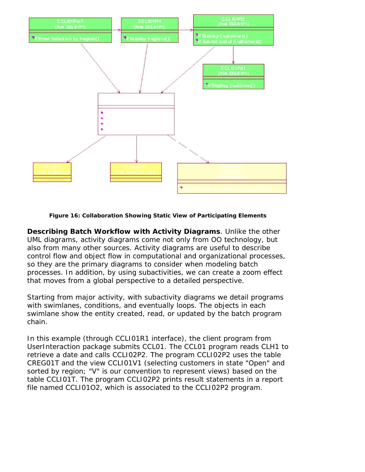

**Figure 16: Collaboration Showing Static View of Participating Elements**

**Describing Batch Workflow with Activity Diagrams**. Unlike the other UML diagrams, activity diagrams come not only from OO technology, but also from many other sources. Activity diagrams are useful to describe control flow and object flow in computational and organizational processes, so they are the primary diagrams to consider when modeling batch processes. In addition, by using subactivities, we can create a zoom effect that moves from a global perspective to a detailed perspective.

Starting from major activity, with subactivity diagrams we detail programs with swimlanes, conditions, and eventually loops. The objects in each swimlane show the entity created, read, or updated by the batch program chain.

In this example (through CCLI01R1 interface), the client program from UserInteraction package submits CCL01. The CCL01 program reads CLH1 to retrieve a date and calls CCLI02P2. The program CCLI02P2 uses the table CREG01T and the view CCLI01V1 (selecting customers in state "Open" and sorted by region; "V" is our convention to represent views) based on the table CCLI01T. The program CCLI02P2 prints result statements in a report file named CCLI01O2, which is associated to the CCLI02P2 program.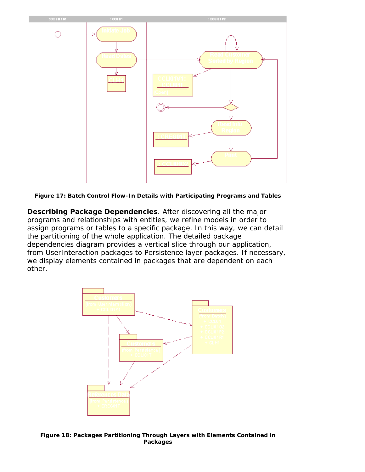

**Figure 17: Batch Control Flow-In Details with Participating Programs and Tables**

**Describing Package Dependencies**. After discovering all the major programs and relationships with entities, we refine models in order to assign programs or tables to a specific package. In this way, we can detail the partitioning of the whole application. The detailed package dependencies diagram provides a vertical slice through our application, from UserInteraction packages to Persistence layer packages. If necessary, we display elements contained in packages that are dependent on each other.



**Figure 18: Packages Partitioning Through Layers with Elements Contained in Packages**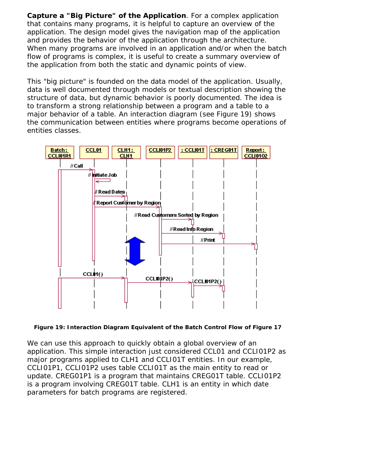**Capture a "Big Picture" of the Application**. For a complex application that contains many programs, it is helpful to capture an overview of the application. The design model gives the navigation map of the application and provides the behavior of the application through the architecture. When many programs are involved in an application and/or when the batch flow of programs is complex, it is useful to create a summary overview of the application from both the static and dynamic points of view.

This "big picture" is founded on the data model of the application. Usually, data is well documented through models or textual description showing the structure of data, but dynamic behavior is poorly documented. The idea is to transform a strong relationship between a program and a table to a major behavior of a table. An interaction diagram (see Figure 19) shows the communication between entities where programs become operations of entities classes.



**Figure 19: Interaction Diagram Equivalent of the Batch Control Flow of Figure 17**

We can use this approach to quickly obtain a global overview of an application. This simple interaction just considered CCL01 and CCLI01P2 as major programs applied to CLH1 and CCLI01T entities. In our example, CCLI01P1, CCLI01P2 uses table CCLI01T as the main entity to read or update. CREG01P1 is a program that maintains CREG01T table. CCLI01P2 is a program involving CREG01T table. CLH1 is an entity in which date parameters for batch programs are registered.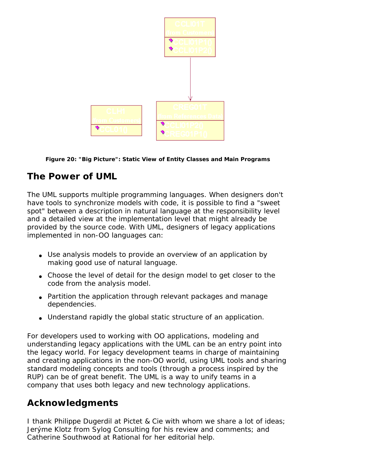

**Figure 20: "Big Picture": Static View of Entity Classes and Main Programs**

# **The Power of UML**

The UML supports multiple programming languages. When designers don't have tools to synchronize models with code, it is possible to find a "sweet spot" between a description in natural language at the responsibility level and a detailed view at the implementation level that might already be provided by the source code. With UML, designers of legacy applications implemented in non-OO languages can:

- Use analysis models to provide an overview of an application by making good use of natural language.
- Choose the level of detail for the design model to get closer to the code from the analysis model.
- Partition the application through relevant packages and manage dependencies.
- Understand rapidly the global static structure of an application.

For developers used to working with OO applications, modeling and understanding legacy applications with the UML can be an entry point into the legacy world. For legacy development teams in charge of maintaining and creating applications in the non-OO world, using UML tools and sharing standard modeling concepts and tools (through a process inspired by the RUP) can be of great benefit. The UML is a way to unify teams in a company that uses both legacy and new technology applications.

# **Acknowledgments**

I thank Philippe Dugerdil at Pictet & Cie with whom we share a lot of ideas; Jerýme Klotz from Sylog Consulting for his review and comments; and Catherine Southwood at Rational for her editorial help.